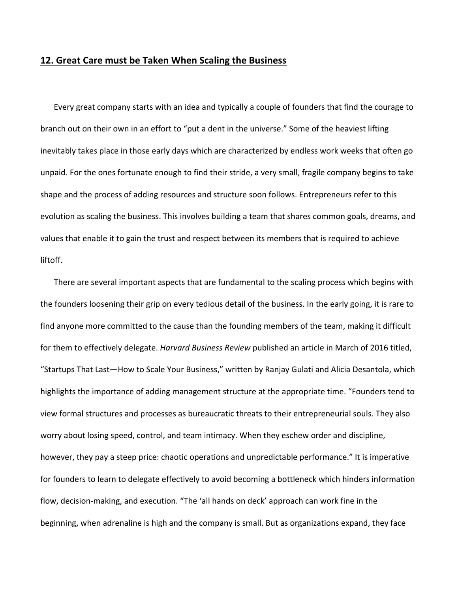## **12. Great Care must be Taken When Scaling the Business**

Every great company starts with an idea and typically a couple of founders that find the courage to branch out on their own in an effort to "put a dent in the universe." Some of the heaviest lifting inevitably takes place in those early days which are characterized by endless work weeks that often go unpaid. For the ones fortunate enough to find their stride, a very small, fragile company begins to take shape and the process of adding resources and structure soon follows. Entrepreneurs refer to this evolution as scaling the business. This involves building a team that shares common goals, dreams, and values that enable it to gain the trust and respect between its members that is required to achieve liftoff.

There are several important aspects that are fundamental to the scaling process which begins with the founders loosening their grip on every tedious detail of the business. In the early going, it is rare to find anyone more committed to the cause than the founding members of the team, making it difficult for them to effectively delegate. *Harvard Business Review* published an article in March of 2016 titled, "Startups That Last—How to Scale Your Business," written by Ranjay Gulati and Alicia Desantola, which highlights the importance of adding management structure at the appropriate time. "Founders tend to view formal structures and processes as bureaucratic threats to their entrepreneurial souls. They also worry about losing speed, control, and team intimacy. When they eschew order and discipline, however, they pay a steep price: chaotic operations and unpredictable performance." It is imperative for founders to learn to delegate effectively to avoid becoming a bottleneck which hinders information flow, decision-making, and execution. "The 'all hands on deck' approach can work fine in the beginning, when adrenaline is high and the company is small. But as organizations expand, they face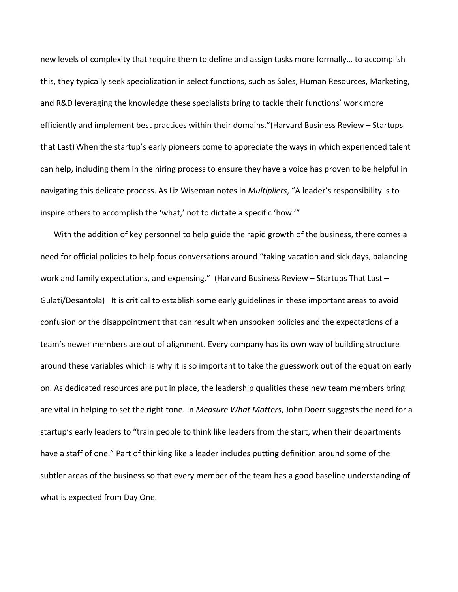new levels of complexity that require them to define and assign tasks more formally… to accomplish this, they typically seek specialization in select functions, such as Sales, Human Resources, Marketing, and R&D leveraging the knowledge these specialists bring to tackle their functions' work more efficiently and implement best practices within their domains."(Harvard Business Review – Startups that Last) When the startup's early pioneers come to appreciate the ways in which experienced talent can help, including them in the hiring process to ensure they have a voice has proven to be helpful in navigating this delicate process. As Liz Wiseman notes in *Multipliers*, "A leader's responsibility is to inspire others to accomplish the 'what,' not to dictate a specific 'how.'"

With the addition of key personnel to help guide the rapid growth of the business, there comes a need for official policies to help focus conversations around "taking vacation and sick days, balancing work and family expectations, and expensing." (Harvard Business Review – Startups That Last – Gulati/Desantola) It is critical to establish some early guidelines in these important areas to avoid confusion or the disappointment that can result when unspoken policies and the expectations of a team's newer members are out of alignment. Every company has its own way of building structure around these variables which is why it is so important to take the guesswork out of the equation early on. As dedicated resources are put in place, the leadership qualities these new team members bring are vital in helping to set the right tone. In *Measure What Matters*, John Doerr suggests the need for a startup's early leaders to "train people to think like leaders from the start, when their departments have a staff of one." Part of thinking like a leader includes putting definition around some of the subtler areas of the business so that every member of the team has a good baseline understanding of what is expected from Day One.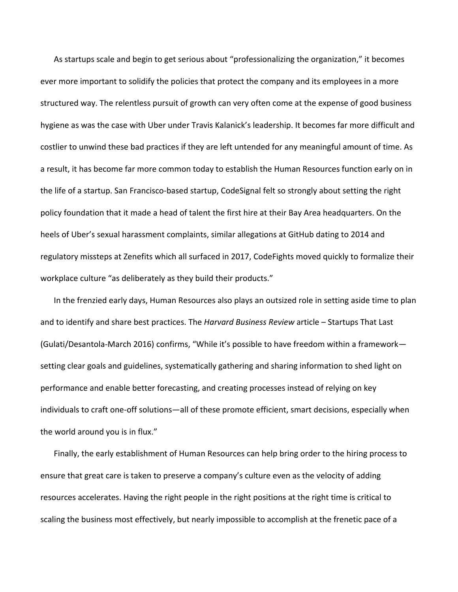As startups scale and begin to get serious about "professionalizing the organization," it becomes ever more important to solidify the policies that protect the company and its employees in a more structured way. The relentless pursuit of growth can very often come at the expense of good business hygiene as was the case with Uber under Travis Kalanick's leadership. It becomes far more difficult and costlier to unwind these bad practices if they are left untended for any meaningful amount of time. As a result, it has become far more common today to establish the Human Resources function early on in the life of a startup. San Francisco‐based startup, CodeSignal felt so strongly about setting the right policy foundation that it made a head of talent the first hire at their Bay Area headquarters. On the heels of Uber's sexual harassment complaints, similar allegations at GitHub dating to 2014 and regulatory missteps at Zenefits which all surfaced in 2017, CodeFights moved quickly to formalize their workplace culture "as deliberately as they build their products."

In the frenzied early days, Human Resources also plays an outsized role in setting aside time to plan and to identify and share best practices. The *Harvard Business Review* article – Startups That Last (Gulati/Desantola‐March 2016) confirms, "While it's possible to have freedom within a framework setting clear goals and guidelines, systematically gathering and sharing information to shed light on performance and enable better forecasting, and creating processes instead of relying on key individuals to craft one-off solutions—all of these promote efficient, smart decisions, especially when the world around you is in flux."

Finally, the early establishment of Human Resources can help bring order to the hiring process to ensure that great care is taken to preserve a company's culture even as the velocity of adding resources accelerates. Having the right people in the right positions at the right time is critical to scaling the business most effectively, but nearly impossible to accomplish at the frenetic pace of a